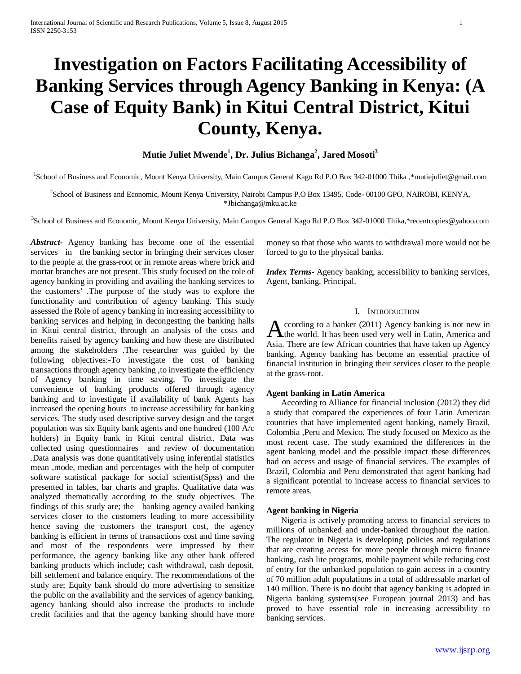# **Investigation on Factors Facilitating Accessibility of Banking Services through Agency Banking in Kenya: (A Case of Equity Bank) in Kitui Central District, Kitui County, Kenya.**

 $\mathbf{M}$ utie Juliet Mwende $^{1}$ , Dr. Julius Bichanga $^{2}$ , Jared Mosoti $^{3}$ 

<sup>1</sup>School of Business and Economic, Mount Kenya University, Main Campus General Kago Rd P.O Box 342-01000 Thika, \*mutiejuliet@gmail.com

<sup>2</sup>School of Business and Economic, Mount Kenya University, Nairobi Campus P.O Box 13495, Code-00100 GPO, NAIROBI, KENYA, \*Jbichanga@mku.ac.ke

3 School of Business and Economic, Mount Kenya University, Main Campus General Kago Rd P.O Box 342-01000 Thika,\*recentcopies@yahoo.com

*Abstract***-** Agency banking has become one of the essential services in the banking sector in bringing their services closer to the people at the grass-root or in remote areas where brick and mortar branches are not present. This study focused on the role of agency banking in providing and availing the banking services to the customers' .The purpose of the study was to explore the functionality and contribution of agency banking. This study assessed the Role of agency banking in increasing accessibility to banking services and helping in decongesting the banking halls in Kitui central district, through an analysis of the costs and benefits raised by agency banking and how these are distributed among the stakeholders .The researcher was guided by the following objectives:-To investigate the cost of banking transactions through agency banking ,to investigate the efficiency of Agency banking in time saving, To investigate the convenience of banking products offered through agency banking and to investigate if availability of bank Agents has increased the opening hours to increase accessibility for banking services. The study used descriptive survey design and the target population was six Equity bank agents and one hundred (100 A/c holders) in Equity bank in Kitui central district. Data was collected using questionnaires and review of documentation .Data analysis was done quantitatively using inferential statistics mean ,mode, median and percentages with the help of computer software statistical package for social scientist(Spss) and the presented in tables, bar charts and graphs. Qualitative data was analyzed thematically according to the study objectives. The findings of this study are; the banking agency availed banking services closer to the customers leading to more accessibility hence saving the customers the transport cost, the agency banking is efficient in terms of transactions cost and time saving and most of the respondents were impressed by their performance, the agency banking like any other bank offered banking products which include; cash withdrawal, cash deposit, bill settlement and balance enquiry. The recommendations of the study are; Equity bank should do more advertising to sensitize the public on the availability and the services of agency banking, agency banking should also increase the products to include credit facilities and that the agency banking should have more money so that those who wants to withdrawal more would not be forced to go to the physical banks.

*Index Terms*- Agency banking, accessibility to banking services, Agent, banking, Principal.

# I. INTRODUCTION

ccording to a banker (2011) Agency banking is not new in According to a banker (2011) Agency banking is not new in<br>the world. It has been used very well in Latin, America and Asia. There are few African countries that have taken up Agency banking. Agency banking has become an essential practice of financial institution in bringing their services closer to the people at the grass-root.

# **Agent banking in Latin America**

 According to Alliance for financial inclusion (2012) they did a study that compared the experiences of four Latin American countries that have implemented agent banking, namely Brazil, Colombia ,Peru and Mexico. The study focused on Mexico as the most recent case. The study examined the differences in the agent banking model and the possible impact these differences had on access and usage of financial services. The examples of Brazil, Colombia and Peru demonstrated that agent banking had a significant potential to increase access to financial services to remote areas.

# **Agent banking in Nigeria**

 Nigeria is actively promoting access to financial services to millions of unbanked and under-banked throughout the nation. The regulator in Nigeria is developing policies and regulations that are creating access for more people through micro finance banking, cash lite programs, mobile payment while reducing cost of entry for the unbanked population to gain access in a country of 70 million adult populations in a total of addressable market of 140 million. There is no doubt that agency banking is adopted in Nigeria banking systems(see European journal 2013) and has proved to have essential role in increasing accessibility to banking services.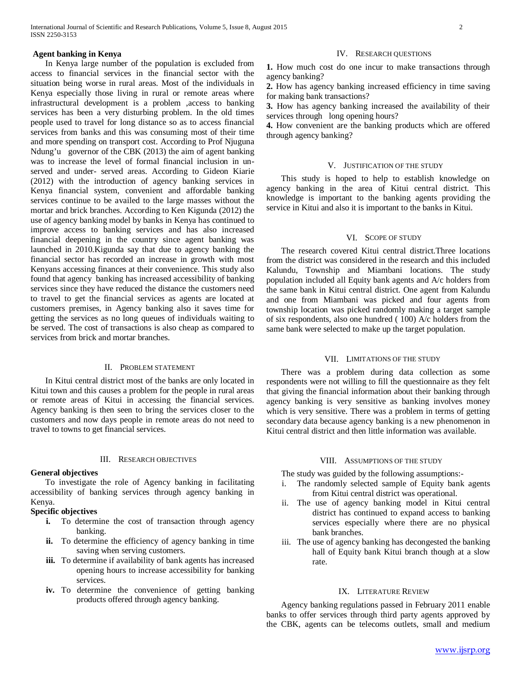# **Agent banking in Kenya**

 In Kenya large number of the population is excluded from access to financial services in the financial sector with the situation being worse in rural areas. Most of the individuals in Kenya especially those living in rural or remote areas where infrastructural development is a problem ,access to banking services has been a very disturbing problem. In the old times people used to travel for long distance so as to access financial services from banks and this was consuming most of their time and more spending on transport cost. According to Prof Njuguna Ndung'u governor of the CBK (2013) the aim of agent banking was to increase the level of formal financial inclusion in unserved and under- served areas. According to Gideon Kiarie (2012) with the introduction of agency banking services in Kenya financial system, convenient and affordable banking services continue to be availed to the large masses without the mortar and brick branches. According to Ken Kigunda (2012) the use of agency banking model by banks in Kenya has continued to improve access to banking services and has also increased financial deepening in the country since agent banking was launched in 2010.Kigunda say that due to agency banking the financial sector has recorded an increase in growth with most Kenyans accessing finances at their convenience. This study also found that agencybanking has increased accessibility of banking services since they have reduced the distance the customers need to travel to get the financial services as agents are located at customers premises, in Agency banking also it saves time for getting the services as no long queues of individuals waiting to be served. The cost of transactions is also cheap as compared to services from brick and mortar branches.

# II. PROBLEM STATEMENT

 In Kitui central district most of the banks are only located in Kitui town and this causes a problem for the people in rural areas or remote areas of Kitui in accessing the financial services. Agency banking is then seen to bring the services closer to the customers and now days people in remote areas do not need to travel to towns to get financial services.

## III. RESEARCH OBJECTIVES

#### **General objectives**

 To investigate the role of Agency banking in facilitating accessibility of banking services through agency banking in Kenya.

# **Specific objectives**

- **i.** To determine the cost of transaction through agency banking.
- **ii.** To determine the efficiency of agency banking in time saving when serving customers.
- iii. To determine if availability of bank agents has increased opening hours to increase accessibility for banking services.
- **iv.** To determine the convenience of getting banking products offered through agency banking.

#### IV. RESEARCH QUESTIONS

**1.** How much cost do one incur to make transactions through agency banking?

**2.** How has agency banking increased efficiency in time saving for making bank transactions?

**3.** How has agency banking increased the availability of their services through long opening hours?

**4.** How convenient are the banking products which are offered through agency banking?

# V. JUSTIFICATION OF THE STUDY

 This study is hoped to help to establish knowledge on agency banking in the area of Kitui central district. This knowledge is important to the banking agents providing the service in Kitui and also it is important to the banks in Kitui.

## VI. SCOPE OF STUDY

 The research covered Kitui central district.Three locations from the district was considered in the research and this included Kalundu, Township and Miambani locations. The study population included all Equity bank agents and A/c holders from the same bank in Kitui central district. One agent from Kalundu and one from Miambani was picked and four agents from township location was picked randomly making a target sample of six respondents, also one hundred ( 100) A/c holders from the same bank were selected to make up the target population.

# VII. LIMITATIONS OF THE STUDY

 There was a problem during data collection as some respondents were not willing to fill the questionnaire as they felt that giving the financial information about their banking through agency banking is very sensitive as banking involves money which is very sensitive. There was a problem in terms of getting secondary data because agency banking is a new phenomenon in Kitui central district and then little information was available.

#### VIII. ASSUMPTIONS OF THE STUDY

The study was guided by the following assumptions:-

- i. The randomly selected sample of Equity bank agents from Kitui central district was operational.
- ii. The use of agency banking model in Kitui central district has continued to expand access to banking services especially where there are no physical bank branches.
- iii. The use of agency banking has decongested the banking hall of Equity bank Kitui branch though at a slow rate.

## IX. LITERATURE REVIEW

 Agency banking regulations passed in February 2011 enable banks to offer services through third party agents approved by the CBK, agents can be telecoms outlets, small and medium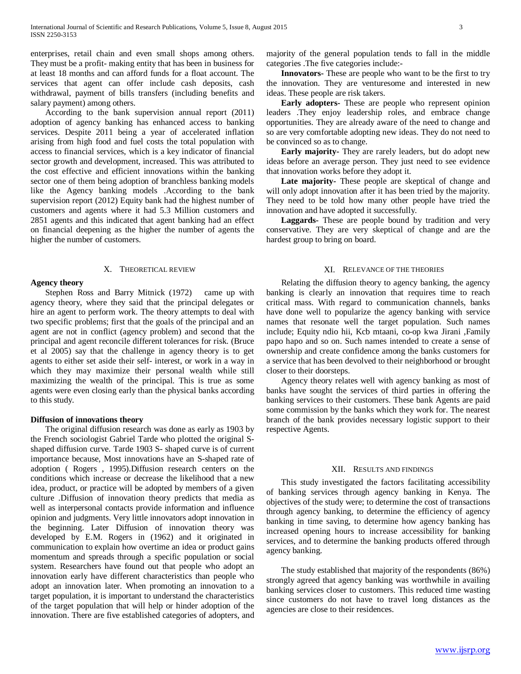enterprises, retail chain and even small shops among others. They must be a profit- making entity that has been in business for at least 18 months and can afford funds for a float account. The services that agent can offer include cash deposits, cash withdrawal, payment of bills transfers (including benefits and salary payment) among others.

 According to the bank supervision annual report (2011) adoption of agency banking has enhanced access to banking services. Despite 2011 being a year of accelerated inflation arising from high food and fuel costs the total population with access to financial services, which is a key indicator of financial sector growth and development, increased. This was attributed to the cost effective and efficient innovations within the banking sector one of them being adoption of branchless banking models like the Agency banking models .According to the bank supervision report (2012) Equity bank had the highest number of customers and agents where it had 5.3 Million customers and 2851 agents and this indicated that agent banking had an effect on financial deepening as the higher the number of agents the higher the number of customers.

#### X. THEORETICAL REVIEW

# **Agency theory**

 Stephen Ross and Barry Mitnick (1972) came up with agency theory, where they said that the principal delegates or hire an agent to perform work. The theory attempts to deal with two specific problems; first that the goals of the principal and an agent are not in conflict (agency problem) and second that the principal and agent reconcile different tolerances for risk. (Bruce et al 2005) say that the challenge in agency theory is to get agents to either set aside their self- interest, or work in a way in which they may maximize their personal wealth while still maximizing the wealth of the principal. This is true as some agents were even closing early than the physical banks according to this study.

#### **Diffusion of innovations theory**

 The original diffusion research was done as early as 1903 by the French sociologist Gabriel Tarde who plotted the original Sshaped diffusion curve. Tarde 1903 S- shaped curve is of current importance because, Most innovations have an S-shaped rate of adoption ( Rogers , 1995).Diffusion research centers on the conditions which increase or decrease the likelihood that a new idea, product, or practice will be adopted by members of a given culture .Diffusion of innovation theory predicts that media as well as interpersonal contacts provide information and influence opinion and judgments. Very little innovators adopt innovation in the beginning. Later Diffusion of innovation theory was developed by E.M. Rogers in (1962) and it originated in communication to explain how overtime an idea or product gains momentum and spreads through a specific population or social system. Researchers have found out that people who adopt an innovation early have different characteristics than people who adopt an innovation later. When promoting an innovation to a target population, it is important to understand the characteristics of the target population that will help or hinder adoption of the innovation. There are five established categories of adopters, and majority of the general population tends to fall in the middle categories .The five categories include:-

 **Innovators-** These are people who want to be the first to try the innovation. They are venturesome and interested in new ideas. These people are risk takers.

 **Early adopters-** These are people who represent opinion leaders .They enjoy leadership roles, and embrace change opportunities. They are already aware of the need to change and so are very comfortable adopting new ideas. They do not need to be convinced so as to change.

 **Early majority-** They are rarely leaders, but do adopt new ideas before an average person. They just need to see evidence that innovation works before they adopt it.

 **Late majority-** These people are skeptical of change and will only adopt innovation after it has been tried by the majority. They need to be told how many other people have tried the innovation and have adopted it successfully.

 **Laggards-** These are people bound by tradition and very conservative. They are very skeptical of change and are the hardest group to bring on board.

# XI. RELEVANCE OF THE THEORIES

 Relating the diffusion theory to agency banking, the agency banking is clearly an innovation that requires time to reach critical mass. With regard to communication channels, banks have done well to popularize the agency banking with service names that resonate well the target population. Such names include; Equity ndio hii, Kcb mtaani, co-op kwa Jirani ,Family papo hapo and so on. Such names intended to create a sense of ownership and create confidence among the banks customers for a service that has been devolved to their neighborhood or brought closer to their doorsteps.

 Agency theory relates well with agency banking as most of banks have sought the services of third parties in offering the banking services to their customers. These bank Agents are paid some commission by the banks which they work for. The nearest branch of the bank provides necessary logistic support to their respective Agents.

## XII. RESULTS AND FINDINGS

 This study investigated the factors facilitating accessibility of banking services through agency banking in Kenya. The objectives of the study were; to determine the cost of transactions through agency banking, to determine the efficiency of agency banking in time saving, to determine how agency banking has increased opening hours to increase accessibility for banking services, and to determine the banking products offered through agency banking.

 The study established that majority of the respondents (86%) strongly agreed that agency banking was worthwhile in availing banking services closer to customers. This reduced time wasting since customers do not have to travel long distances as the agencies are close to their residences.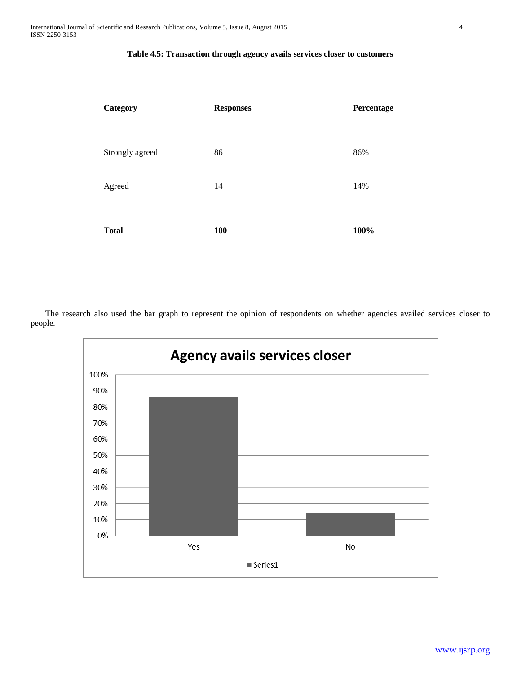| <b>Category</b> | <b>Responses</b> | Percentage |  |  |
|-----------------|------------------|------------|--|--|
| Strongly agreed | 86               | 86%        |  |  |
| Agreed          | 14               | 14%        |  |  |
| <b>Total</b>    | 100              | 100%       |  |  |
|                 |                  |            |  |  |

# **Table 4.5: Transaction through agency avails services closer to customers**

 The research also used the bar graph to represent the opinion of respondents on whether agencies availed services closer to people.

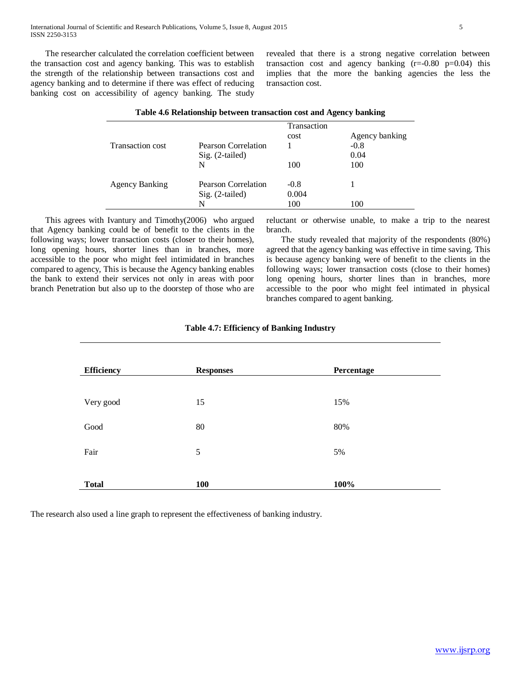The researcher calculated the correlation coefficient between the transaction cost and agency banking. This was to establish the strength of the relationship between transactions cost and agency banking and to determine if there was effect of reducing banking cost on accessibility of agency banking. The study revealed that there is a strong negative correlation between transaction cost and agency banking (r=-0.80 p=0.04) this implies that the more the banking agencies the less the transaction cost.

|                       |                     | o           |                |
|-----------------------|---------------------|-------------|----------------|
|                       |                     | Transaction |                |
|                       |                     | cost        | Agency banking |
| Transaction cost      | Pearson Correlation |             | $-0.8$         |
|                       | Sig. (2-tailed)     |             | 0.04           |
|                       | N                   | 100         | 100            |
|                       |                     |             |                |
| <b>Agency Banking</b> | Pearson Correlation | $-0.8$      |                |
|                       | Sig. (2-tailed)     | 0.004       |                |
|                       | N                   | 100         | 100            |

# **Table 4.6 Relationship between transaction cost and Agency banking**

 This agrees with Ivantury and Timothy(2006) who argued that Agency banking could be of benefit to the clients in the following ways; lower transaction costs (closer to their homes), long opening hours, shorter lines than in branches, more accessible to the poor who might feel intimidated in branches compared to agency, This is because the Agency banking enables the bank to extend their services not only in areas with poor branch Penetration but also up to the doorstep of those who are reluctant or otherwise unable, to make a trip to the nearest branch.

 The study revealed that majority of the respondents (80%) agreed that the agency banking was effective in time saving. This is because agency banking were of benefit to the clients in the following ways; lower transaction costs (close to their homes) long opening hours, shorter lines than in branches, more accessible to the poor who might feel intimated in physical branches compared to agent banking.

| <b>Efficiency</b> | <b>Responses</b> | Percentage |
|-------------------|------------------|------------|
| Very good         | 15               | 15%        |
| Good              | 80               | 80%        |
| Fair              | 5                | 5%         |
| <b>Total</b>      | 100              | 100%       |

The research also used a line graph to represent the effectiveness of banking industry.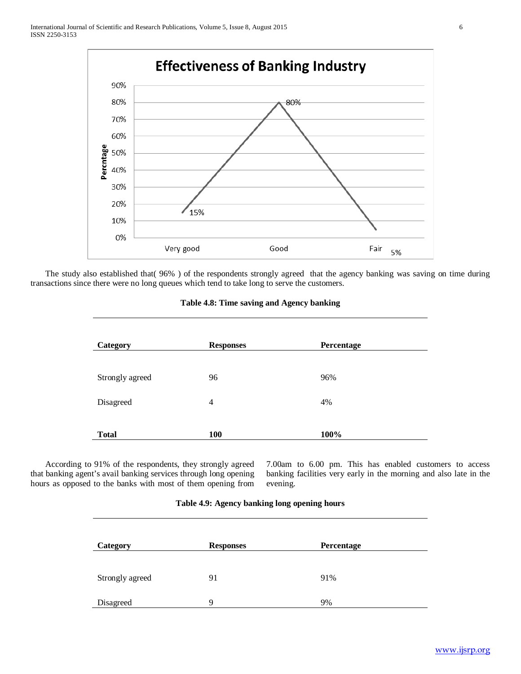

 The study also established that( 96% ) of the respondents strongly agreed that the agency banking was saving on time during transactions since there were no long queues which tend to take long to serve the customers.

| Category        | <b>Responses</b> | Percentage |
|-----------------|------------------|------------|
| Strongly agreed | 96               | 96%        |
| Disagreed       | $\overline{4}$   | 4%         |
| <b>Total</b>    | 100              | 100%       |

## **Table 4.8: Time saving and Agency banking**

 According to 91% of the respondents, they strongly agreed that banking agent's avail banking services through long opening hours as opposed to the banks with most of them opening from 7.00am to 6.00 pm. This has enabled customers to access banking facilities very early in the morning and also late in the evening.

| Category        | <b>Responses</b> | Percentage |
|-----------------|------------------|------------|
| Strongly agreed | 91               | 91%        |
| Disagreed       | 9                | 9%         |

# **Table 4.9: Agency banking long opening hours**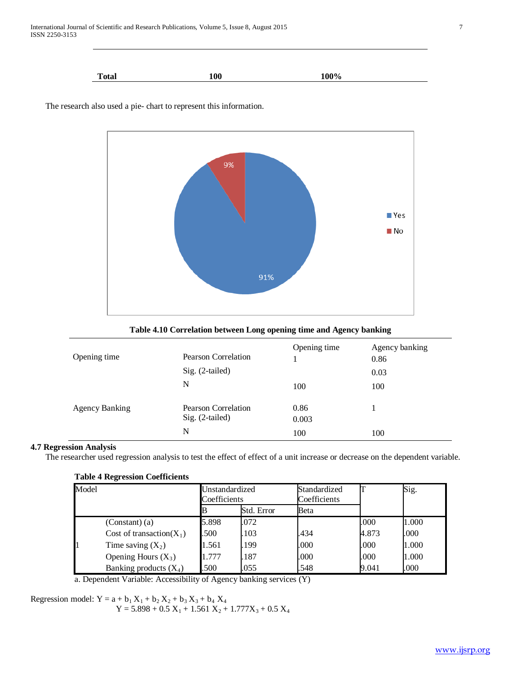| <b>Total</b> | 100 | 100% |
|--------------|-----|------|



The research also used a pie- chart to represent this information.

**Table 4.10 Correlation between Long opening time and Agency banking**

| Opening time          | Pearson Correlation<br>Sig. (2-tailed)<br>N | Opening time<br>100  | Agency banking<br>0.86<br>0.03<br>100 |
|-----------------------|---------------------------------------------|----------------------|---------------------------------------|
| <b>Agency Banking</b> | Pearson Correlation<br>Sig. (2-tailed)<br>N | 0.86<br>0.003<br>100 | 100                                   |

# **4.7 Regression Analysis**

The researcher used regression analysis to test the effect of effect of a unit increase or decrease on the dependent variable.

| <b>Table 4 Regression Coefficients</b> |            |
|----------------------------------------|------------|
| $M_{\odot}$ d <sub>o</sub> l           | $I$ Incter |

| Model |                              | Unstandardized<br>Coefficients |            | Standardized<br>Coefficients | Sig.  |       |
|-------|------------------------------|--------------------------------|------------|------------------------------|-------|-------|
|       |                              |                                | Std. Error | Beta                         |       |       |
|       | (Constant) (a)               | 5.898                          | .072       |                              | .000  | 1.000 |
|       | Cost of transaction( $X_1$ ) | .500                           | .103       | .434                         | 4.873 | .000  |
|       | Time saving $(X_2)$          | 1.561                          | .199       | .000                         | .000  | 1.000 |
|       | Opening Hours $(X_3)$        | . .777                         | .187       | .000                         | .000  | 1.000 |
|       | Banking products $(X_4)$     | .500                           | .055       | .548                         | 9.041 | .000  |

a. Dependent Variable: Accessibility of Agency banking services (Y)

Regression model:  $Y = a + b_1 X_1 + b_2 X_2 + b_3 X_3 + b_4 X_4$ 

 $Y = 5.898 + 0.5 X_1 + 1.561 X_2 + 1.777X_3 + 0.5 X_4$